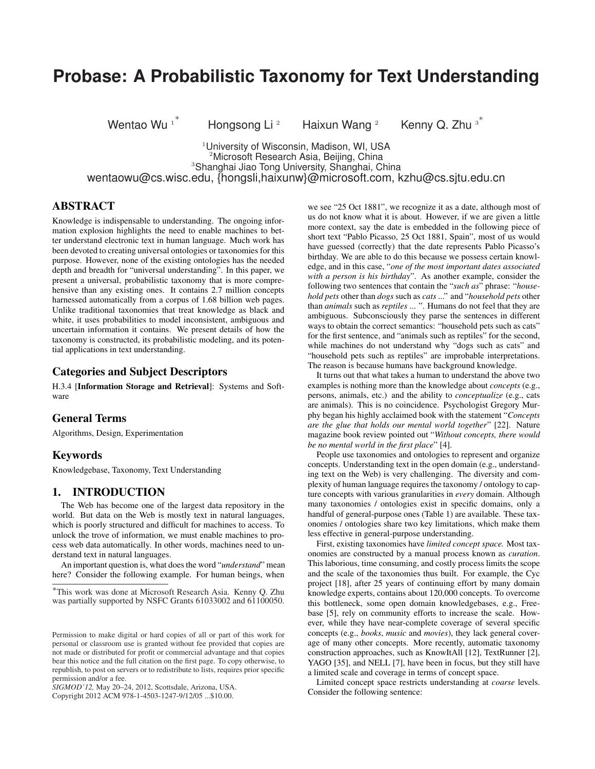# **Probase: A Probabilistic Taxonomy for Text Understanding**

Wentao Wu $^{\frac{1}{1}}$ 

Hongsong Li<sup>2</sup> Haixun Wang<sup>2</sup>

Kenny Q. Zhu<sup>3<sup>\*</sup></sup>

<sup>1</sup>University of Wisconsin, Madison, WI, USA <sup>2</sup>Microsoft Research Asia, Beijing, China <sup>3</sup>Shanghai Jiao Tong University, Shanghai, China wentaowu@cs.wisc.edu, {hongsli,haixunw}@microsoft.com, kzhu@cs.sjtu.edu.cn

# ABSTRACT

Knowledge is indispensable to understanding. The ongoing information explosion highlights the need to enable machines to better understand electronic text in human language. Much work has been devoted to creating universal ontologies or taxonomies for this purpose. However, none of the existing ontologies has the needed depth and breadth for "universal understanding". In this paper, we present a universal, probabilistic taxonomy that is more comprehensive than any existing ones. It contains 2.7 million concepts harnessed automatically from a corpus of 1.68 billion web pages. Unlike traditional taxonomies that treat knowledge as black and white, it uses probabilities to model inconsistent, ambiguous and uncertain information it contains. We present details of how the taxonomy is constructed, its probabilistic modeling, and its potential applications in text understanding.

## Categories and Subject Descriptors

H.3.4 [Information Storage and Retrieval]: Systems and Software

# General Terms

Algorithms, Design, Experimentation

# Keywords

Knowledgebase, Taxonomy, Text Understanding

## 1. INTRODUCTION

The Web has become one of the largest data repository in the world. But data on the Web is mostly text in natural languages, which is poorly structured and difficult for machines to access. To unlock the trove of information, we must enable machines to process web data automatically. In other words, machines need to understand text in natural languages.

An important question is, what does the word "*understand*" mean here? Consider the following example. For human beings, when

*SIGMOD'12,* May 20–24, 2012, Scottsdale, Arizona, USA.

Copyright 2012 ACM 978-1-4503-1247-9/12/05 ...\$10.00.

we see "25 Oct 1881", we recognize it as a date, although most of us do not know what it is about. However, if we are given a little more context, say the date is embedded in the following piece of short text "Pablo Picasso, 25 Oct 1881, Spain", most of us would have guessed (correctly) that the date represents Pablo Picasso's birthday. We are able to do this because we possess certain knowledge, and in this case, "*one of the most important dates associated with a person is his birthday*". As another example, consider the following two sentences that contain the "*such as*" phrase: "*household pets* other than *dogs* such as *cats* ..." and "*household pets* other than *animals* such as *reptiles* ... ". Humans do not feel that they are ambiguous. Subconsciously they parse the sentences in different ways to obtain the correct semantics: "household pets such as cats" for the first sentence, and "animals such as reptiles" for the second, while machines do not understand why "dogs such as cats" and "household pets such as reptiles" are improbable interpretations. The reason is because humans have background knowledge.

It turns out that what takes a human to understand the above two examples is nothing more than the knowledge about *concepts* (e.g., persons, animals, etc.) and the ability to *conceptualize* (e.g., cats are animals). This is no coincidence. Psychologist Gregory Murphy began his highly acclaimed book with the statement "*Concepts are the glue that holds our mental world together*" [22]. Nature magazine book review pointed out "*Without concepts, there would be no mental world in the first place*" [4].

People use taxonomies and ontologies to represent and organize concepts. Understanding text in the open domain (e.g., understanding text on the Web) is very challenging. The diversity and complexity of human language requires the taxonomy / ontology to capture concepts with various granularities in *every* domain. Although many taxonomies / ontologies exist in specific domains, only a handful of general-purpose ones (Table 1) are available. These taxonomies / ontologies share two key limitations, which make them less effective in general-purpose understanding.

First, existing taxonomies have *limited concept space.* Most taxonomies are constructed by a manual process known as *curation*. This laborious, time consuming, and costly process limits the scope and the scale of the taxonomies thus built. For example, the Cyc project [18], after 25 years of continuing effort by many domain knowledge experts, contains about 120,000 concepts. To overcome this bottleneck, some open domain knowledgebases, e.g., Freebase [5], rely on community efforts to increase the scale. However, while they have near-complete coverage of several specific concepts (e.g., *books*, *music* and *movies*), they lack general coverage of many other concepts. More recently, automatic taxonomy construction approaches, such as KnowItAll [12], TextRunner [2], YAGO [35], and NELL [7], have been in focus, but they still have a limited scale and coverage in terms of concept space.

Limited concept space restricts understanding at *coarse* levels. Consider the following sentence:

<sup>∗</sup>This work was done at Microsoft Research Asia. Kenny Q. Zhu was partially supported by NSFC Grants 61033002 and 61100050.

Permission to make digital or hard copies of all or part of this work for personal or classroom use is granted without fee provided that copies are not made or distributed for profit or commercial advantage and that copies bear this notice and the full citation on the first page. To copy otherwise, to republish, to post on servers or to redistribute to lists, requires prior specific permission and/or a fee.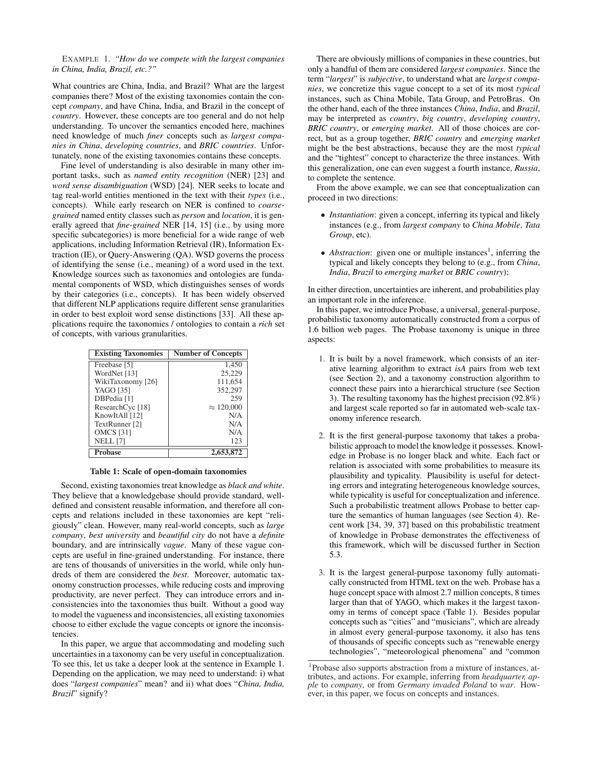#### EXAMPLE 1. *"How do we compete with the largest companies in China, India, Brazil, etc.?"*

What countries are China, India, and Brazil? What are the largest companies there? Most of the existing taxonomies contain the concept *company*, and have China, India, and Brazil in the concept of *country*. However, these concepts are too general and do not help understanding. To uncover the semantics encoded here, machines need knowledge of much *finer* concepts such as *largest companies in China*, *developing countries*, and *BRIC countries*. Unfortunately, none of the existing taxonomies contains these concepts.

Fine level of understanding is also desirable in many other important tasks, such as *named entity recognition* (NER) [23] and *word sense disambiguation* (WSD) [24]. NER seeks to locate and tag real-world entities mentioned in the text with their *types* (i.e., concepts). While early research on NER is confined to *coarsegrained* named entity classes such as *person* and *location*, it is generally agreed that *fine-grained* NER [14, 15] (i.e., by using more specific subcategories) is more beneficial for a wide range of web applications, including Information Retrieval (IR), Information Extraction (IE), or Query-Answering (QA). WSD governs the process of identifying the sense (i.e., meaning) of a word used in the text. Knowledge sources such as taxonomies and ontologies are fundamental components of WSD, which distinguishes senses of words by their categories (i.e., concepts). It has been widely observed that different NLP applications require different sense granularities in order to best exploit word sense distinctions [33]. All these applications require the taxonomies / ontologies to contain a *rich* set of concepts, with various granularities.

| <b>Existing Taxonomies</b> | <b>Number of Concepts</b> |
|----------------------------|---------------------------|
| Freebase [5]               | 1,450                     |
| WordNet [13]               | 25,229                    |
| WikiTaxonomy [26]          | 111.654                   |
| YAGO [35]                  | 352,297                   |
| DBPedia [1]                | 259                       |
| ResearchCyc [18]           | $\approx 120,000$         |
| KnowItAll [12]             | N/A                       |
| TextRunner [2]             | N/A                       |
| <b>OMCS</b> [31]           | N/A                       |
| <b>NELL [7]</b>            | 123                       |
| <b>Probase</b>             | 2.653.872                 |

Table 1: Scale of open-domain taxonomies

Second, existing taxonomies treat knowledge as *black and white*. They believe that a knowledgebase should provide standard, welldefined and consistent reusable information, and therefore all concepts and relations included in these taxonomies are kept "religiously" clean. However, many real-world concepts, such as *large company*, *best university* and *beautiful city* do not have a *definite* boundary, and are intrinsically *vague*. Many of these vague concepts are useful in fine-grained understanding. For instance, there are tens of thousands of universities in the world, while only hundreds of them are considered the *best*. Moreover, automatic taxonomy construction processes, while reducing costs and improving productivity, are never perfect. They can introduce errors and inconsistencies into the taxonomies thus built. Without a good way to model the vagueness and inconsistencies, all existing taxonomies choose to either exclude the vague concepts or ignore the inconsistencies.

In this paper, we argue that accommodating and modeling such uncertainties in a taxonomy can be very useful in conceptualization. To see this, let us take a deeper look at the sentence in Example 1. Depending on the application, we may need to understand: i) what does "*largest companies*" mean? and ii) what does "*China, India, Brazil*" signify?

There are obviously millions of companies in these countries, but only a handful of them are considered *largest companies*. Since the term "*largest*" is *subjective*, to understand what are *largest companies*, we concretize this vague concept to a set of its most *typical* instances, such as China Mobile, Tata Group, and PetroBras. On the other hand, each of the three instances *China*, *India*, and *Brazil*, may be interpreted as *country*, *big country*, *developing country*, *BRIC country*, or *emerging market*. All of those choices are correct, but as a group together, *BRIC country* and *emerging market* might be the best abstractions, because they are the most *typical* and the "tightest" concept to characterize the three instances. With this generalization, one can even suggest a fourth instance, *Russia*, to complete the sentence.

From the above example, we can see that conceptualization can proceed in two directions:

- *Instantiation*: given a concept, inferring its typical and likely instances (e.g., from *largest company* to *China Mobile*, *Tata Group*, etc).
- *Abstraction*: given one or multiple instances<sup>1</sup>, inferring the typical and likely concepts they belong to (e.g., from *China*, *India*, *Brazil* to *emerging market* or *BRIC country*);

In either direction, uncertainties are inherent, and probabilities play an important role in the inference.

In this paper, we introduce Probase, a universal, general-purpose, probabilistic taxonomy automatically constructed from a corpus of 1.6 billion web pages. The Probase taxonomy is unique in three aspects:

- 1. It is built by a novel framework, which consists of an iterative learning algorithm to extract *isA* pairs from web text (see Section 2), and a taxonomy construction algorithm to connect these pairs into a hierarchical structure (see Section 3). The resulting taxonomy has the highest precision (92.8%) and largest scale reported so far in automated web-scale taxonomy inference research.
- 2. It is the first general-purpose taxonomy that takes a probabilistic approach to model the knowledge it possesses. Knowledge in Probase is no longer black and white. Each fact or relation is associated with some probabilities to measure its plausibility and typicality. Plausibility is useful for detecting errors and integrating heterogeneous knowledge sources, while typicality is useful for conceptualization and inference. Such a probabilistic treatment allows Probase to better capture the semantics of human languages (see Section 4). Recent work [34, 39, 37] based on this probabilistic treatment of knowledge in Probase demonstrates the effectiveness of this framework, which will be discussed further in Section 5.3.
- 3. It is the largest general-purpose taxonomy fully automatically constructed from HTML text on the web. Probase has a huge concept space with almost 2.7 million concepts, 8 times larger than that of YAGO, which makes it the largest taxonomy in terms of concept space (Table 1). Besides popular concepts such as "cities" and "musicians", which are already in almost every general-purpose taxonomy, it also has tens of thousands of specific concepts such as "renewable energy technologies", "meteorological phenomena" and "common

<sup>&</sup>lt;sup>1</sup>Probase also supports abstraction from a mixture of instances, attributes, and actions. For example, inferring from *headquarter, apple* to *company*, or from *Germany invaded Poland* to *war*. However, in this paper, we focus on concepts and instances.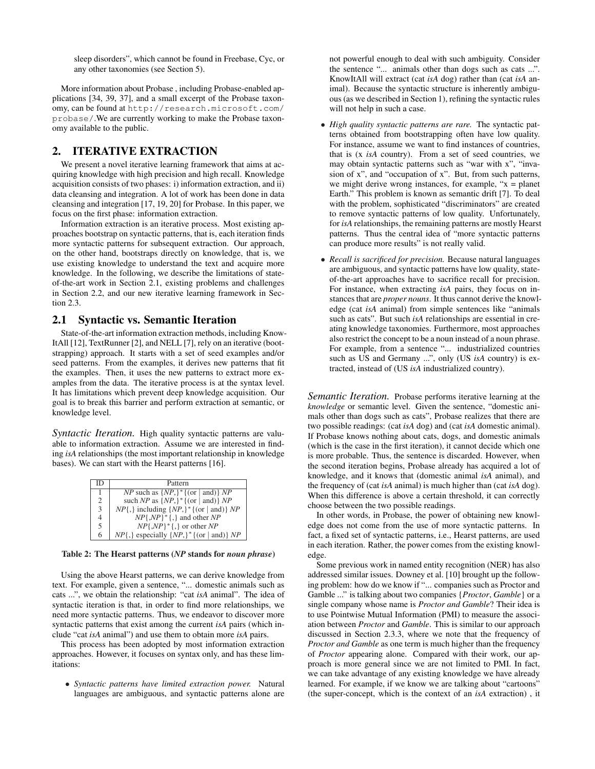sleep disorders", which cannot be found in Freebase, Cyc, or any other taxonomies (see Section 5).

More information about Probase , including Probase-enabled applications [34, 39, 37], and a small excerpt of the Probase taxonomy, can be found at http://research.microsoft.com/ probase/.We are currently working to make the Probase taxonomy available to the public.

# 2. ITERATIVE EXTRACTION

We present a novel iterative learning framework that aims at acquiring knowledge with high precision and high recall. Knowledge acquisition consists of two phases: i) information extraction, and ii) data cleansing and integration. A lot of work has been done in data cleansing and integration [17, 19, 20] for Probase. In this paper, we focus on the first phase: information extraction.

Information extraction is an iterative process. Most existing approaches bootstrap on syntactic patterns, that is, each iteration finds more syntactic patterns for subsequent extraction. Our approach, on the other hand, bootstraps directly on knowledge, that is, we use existing knowledge to understand the text and acquire more knowledge. In the following, we describe the limitations of stateof-the-art work in Section 2.1, existing problems and challenges in Section 2.2, and our new iterative learning framework in Section 2.3.

# 2.1 Syntactic vs. Semantic Iteration

State-of-the-art information extraction methods, including Know-ItAll [12], TextRunner [2], and NELL [7], rely on an iterative (bootstrapping) approach. It starts with a set of seed examples and/or seed patterns. From the examples, it derives new patterns that fit the examples. Then, it uses the new patterns to extract more examples from the data. The iterative process is at the syntax level. It has limitations which prevent deep knowledge acquisition. Our goal is to break this barrier and perform extraction at semantic, or knowledge level.

*Syntactic Iteration.* High quality syntactic patterns are valuable to information extraction. Assume we are interested in finding *isA* relationships (the most important relationship in knowledge bases). We can start with the Hearst patterns [16].

| ID             | Pattern                                            |
|----------------|----------------------------------------------------|
| -1             | NP such as $\{NP, \}^*$ {(or   and)} NP            |
| $\overline{2}$ | such NP as $\{NP, \}^*$ {(or   and)} NP            |
| 3              | $NP\{\, \}$ including $\{NP\}^*\{$ (or   and) } NP |
| $\overline{4}$ | $NP\{NP\}^*\{,\}$ and other NP                     |
| 5              | $NP\{NP\}^*\{,\}$ or other NP                      |
| 6              | $NP\{,\}$ especially $\{NP,\}^*$ {(or   and)} NP   |

#### Table 2: The Hearst patterns (*NP* stands for *noun phrase*)

Using the above Hearst patterns, we can derive knowledge from text. For example, given a sentence, "... domestic animals such as cats ...", we obtain the relationship: "cat *isA* animal". The idea of syntactic iteration is that, in order to find more relationships, we need more syntactic patterns. Thus, we endeavor to discover more syntactic patterns that exist among the current *isA* pairs (which include "cat *isA* animal") and use them to obtain more *isA* pairs.

This process has been adopted by most information extraction approaches. However, it focuses on syntax only, and has these limitations:

• *Syntactic patterns have limited extraction power.* Natural languages are ambiguous, and syntactic patterns alone are not powerful enough to deal with such ambiguity. Consider the sentence "... animals other than dogs such as cats ...". KnowItAll will extract (cat *isA* dog) rather than (cat *isA* animal). Because the syntactic structure is inherently ambiguous (as we described in Section 1), refining the syntactic rules will not help in such a case.

- *High quality syntactic patterns are rare.* The syntactic patterns obtained from bootstrapping often have low quality. For instance, assume we want to find instances of countries, that is (x *isA* country). From a set of seed countries, we may obtain syntactic patterns such as "war with x", "invasion of x", and "occupation of x". But, from such patterns, we might derive wrong instances, for example, " $x =$  planet Earth." This problem is known as semantic drift [7]. To deal with the problem, sophisticated "discriminators" are created to remove syntactic patterns of low quality. Unfortunately, for *isA* relationships, the remaining patterns are mostly Hearst patterns. Thus the central idea of "more syntactic patterns can produce more results" is not really valid.
- *Recall is sacrificed for precision.* Because natural languages are ambiguous, and syntactic patterns have low quality, stateof-the-art approaches have to sacrifice recall for precision. For instance, when extracting *isA* pairs, they focus on instances that are *proper nouns*. It thus cannot derive the knowledge (cat *isA* animal) from simple sentences like "animals such as cats". But such *isA* relationships are essential in creating knowledge taxonomies. Furthermore, most approaches also restrict the concept to be a noun instead of a noun phrase. For example, from a sentence "... industrialized countries such as US and Germany ...", only (US *isA* country) is extracted, instead of (US *isA* industrialized country).

*Semantic Iteration.* Probase performs iterative learning at the *knowledge* or semantic level. Given the sentence, "domestic animals other than dogs such as cats", Probase realizes that there are two possible readings: (cat *isA* dog) and (cat *isA* domestic animal). If Probase knows nothing about cats, dogs, and domestic animals (which is the case in the first iteration), it cannot decide which one is more probable. Thus, the sentence is discarded. However, when the second iteration begins, Probase already has acquired a lot of knowledge, and it knows that (domestic animal *isA* animal), and the frequency of (cat *isA* animal) is much higher than (cat *isA* dog). When this difference is above a certain threshold, it can correctly choose between the two possible readings.

In other words, in Probase, the power of obtaining new knowledge does not come from the use of more syntactic patterns. In fact, a fixed set of syntactic patterns, i.e., Hearst patterns, are used in each iteration. Rather, the power comes from the existing knowledge.

Some previous work in named entity recognition (NER) has also addressed similar issues. Downey et al. [10] brought up the following problem: how do we know if "... companies such as Proctor and Gamble ..." is talking about two companies {*Proctor*, *Gamble*} or a single company whose name is *Proctor and Gamble*? Their idea is to use Pointwise Mutual Information (PMI) to measure the association between *Proctor* and *Gamble*. This is similar to our approach discussed in Section 2.3.3, where we note that the frequency of *Proctor and Gamble* as one term is much higher than the frequency of *Proctor* appearing alone. Compared with their work, our approach is more general since we are not limited to PMI. In fact, we can take advantage of any existing knowledge we have already learned. For example, if we know we are talking about "cartoons" (the super-concept, which is the context of an *isA* extraction) , it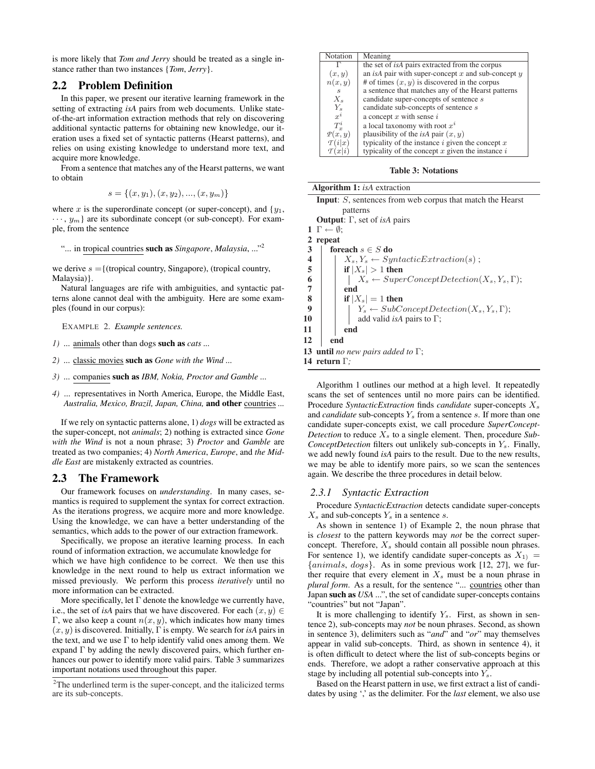is more likely that *Tom and Jerry* should be treated as a single instance rather than two instances {*Tom*, *Jerry*}.

# 2.2 Problem Definition

In this paper, we present our iterative learning framework in the setting of extracting *isA* pairs from web documents. Unlike stateof-the-art information extraction methods that rely on discovering additional syntactic patterns for obtaining new knowledge, our iteration uses a fixed set of syntactic patterns (Hearst patterns), and relies on using existing knowledge to understand more text, and acquire more knowledge.

From a sentence that matches any of the Hearst patterns, we want to obtain

$$
s = \{(x, y_1), (x, y_2), ..., (x, y_m)\}
$$

where x is the superordinate concept (or super-concept), and  $\{y_1,$  $\cdots$ ,  $y_m$ } are its subordinate concept (or sub-concept). For example, from the sentence

"... in tropical countries such as *Singapore*, *Malaysia*, ..."<sup>2</sup>

we derive  $s =$ {(tropical country, Singapore), (tropical country, Malaysia)}.

Natural languages are rife with ambiguities, and syntactic patterns alone cannot deal with the ambiguity. Here are some examples (found in our corpus):

EXAMPLE 2. *Example sentences.*

- *1) ...* animals other than dogs such as *cats ...*
- *2) ...* classic movies such as *Gone with the Wind ...*
- *3) ...* companies such as *IBM, Nokia, Proctor and Gamble ...*
- *4)* ... representatives in North America, Europe, the Middle East, *Australia, Mexico, Brazil, Japan, China,* and other countries *...*

If we rely on syntactic patterns alone, 1) *dogs* will be extracted as the super-concept, not *animals*; 2) nothing is extracted since *Gone with the Wind* is not a noun phrase; 3) *Proctor* and *Gamble* are treated as two companies; 4) *North America*, *Europe*, and *the Middle East* are mistakenly extracted as countries.

#### 2.3 The Framework

Our framework focuses on *understanding*. In many cases, semantics is required to supplement the syntax for correct extraction. As the iterations progress, we acquire more and more knowledge. Using the knowledge, we can have a better understanding of the semantics, which adds to the power of our extraction framework.

Specifically, we propose an iterative learning process. In each round of information extraction, we accumulate knowledge for which we have high confidence to be correct. We then use this knowledge in the next round to help us extract information we missed previously. We perform this process *iteratively* until no more information can be extracted.

More specifically, let  $\Gamma$  denote the knowledge we currently have, i.e., the set of *isA* pairs that we have discovered. For each  $(x, y) \in$ Γ, we also keep a count  $n(x, y)$ , which indicates how many times (x, y) is discovered. Initially, Γ is empty. We search for *isA* pairs in the text, and we use  $\Gamma$  to help identify valid ones among them. We expand  $\Gamma$  by adding the newly discovered pairs, which further enhances our power to identify more valid pairs. Table 3 summarizes important notations used throughout this paper.

| Notation                    | Meaning                                                       |
|-----------------------------|---------------------------------------------------------------|
|                             | the set of isA pairs extracted from the corpus                |
| (x, y)                      | an <i>isA</i> pair with super-concept $x$ and sub-concept $y$ |
| n(x, y)                     | # of times $(x, y)$ is discovered in the corpus               |
| $\mathcal{S}_{\mathcal{S}}$ | a sentence that matches any of the Hearst patterns            |
| $X_{s}$                     | candidate super-concepts of sentence s                        |
| $Y_s$                       | candidate sub-concepts of sentence s                          |
| $x^i$                       | a concept $x$ with sense $i$                                  |
| $T_r^i$                     | a local taxonomy with root $x^i$                              |
| $\mathcal{P}(x,y)$          | plausibility of the <i>isA</i> pair $(x, y)$                  |
| $\mathcal{T}(i x)$          | typicality of the instance $i$ given the concept $x$          |
| $\mathcal{T}(x i)$          | typicality of the concept $x$ given the instance $i$          |

Table 3: Notations

| <b>Algorithm 1:</b> is A extraction                                       |  |  |
|---------------------------------------------------------------------------|--|--|
| <b>Input:</b> S, sentences from web corpus that match the Hearst          |  |  |
| patterns                                                                  |  |  |
| <b>Output:</b> $\Gamma$ , set of <i>isA</i> pairs                         |  |  |
| $1 \Gamma \leftarrow \emptyset$                                           |  |  |
| repeat<br>2                                                               |  |  |
| foreach $s \in S$ do<br>3                                                 |  |  |
| $\overline{\mathbf{4}}$<br>$X_s, Y_s \leftarrow Syntaxtic Extraction(s);$ |  |  |
| 5<br>if $ X_s  > 1$ then                                                  |  |  |
| 6<br>$X_s \leftarrow SuperConcept Detection(X_s, Y_s, \Gamma);$           |  |  |
| $\overline{7}$<br>end                                                     |  |  |
| 8<br>if $ X_s =1$ then                                                    |  |  |
| 9<br>$Y_s \leftarrow SubConcept Detection(X_s, Y_s, \Gamma);$             |  |  |
| add valid is A pairs to $\Gamma$ ;<br>10                                  |  |  |
| 11<br>end                                                                 |  |  |
| 12<br>end                                                                 |  |  |
| <b>13 until</b> no new pairs added to $\Gamma$ ;                          |  |  |
| 14 return $\Gamma$ :                                                      |  |  |
|                                                                           |  |  |

Algorithm 1 outlines our method at a high level. It repeatedly scans the set of sentences until no more pairs can be identified. Procedure *SyntacticExtraction* finds *candidate* super-concepts  $X_s$ and *candidate* sub-concepts Y<sup>s</sup> from a sentence s. If more than one candidate super-concepts exist, we call procedure *SuperConcept-Detection* to reduce  $X_s$  to a single element. Then, procedure *Sub-ConceptDetection* filters out unlikely sub-concepts in  $Y_s$ . Finally, we add newly found *isA* pairs to the result. Due to the new results, we may be able to identify more pairs, so we scan the sentences again. We describe the three procedures in detail below.

#### *2.3.1 Syntactic Extraction*

Procedure *SyntacticExtraction* detects candidate super-concepts  $X_s$  and sub-concepts  $Y_s$  in a sentence s.

As shown in sentence 1) of Example 2, the noun phrase that is *closest* to the pattern keywords may *not* be the correct superconcept. Therefore,  $X_s$  should contain all possible noun phrases. For sentence 1), we identify candidate super-concepts as  $X_{1}$  = {animals, dogs}. As in some previous work [12, 27], we further require that every element in  $X_s$  must be a noun phrase in *plural form*. As a result, for the sentence "... countries other than Japan such as *USA* ...", the set of candidate super-concepts contains "countries" but not "Japan".

It is more challenging to identify  $Y_s$ . First, as shown in sentence 2), sub-concepts may *not* be noun phrases. Second, as shown in sentence 3), delimiters such as "*and*" and "*or*" may themselves appear in valid sub-concepts. Third, as shown in sentence 4), it is often difficult to detect where the list of sub-concepts begins or ends. Therefore, we adopt a rather conservative approach at this stage by including all potential sub-concepts into  $Y_s$ .

Based on the Hearst pattern in use, we first extract a list of candidates by using ',' as the delimiter. For the *last* element, we also use

<sup>&</sup>lt;sup>2</sup>The underlined term is the super-concept, and the italicized terms are its sub-concepts.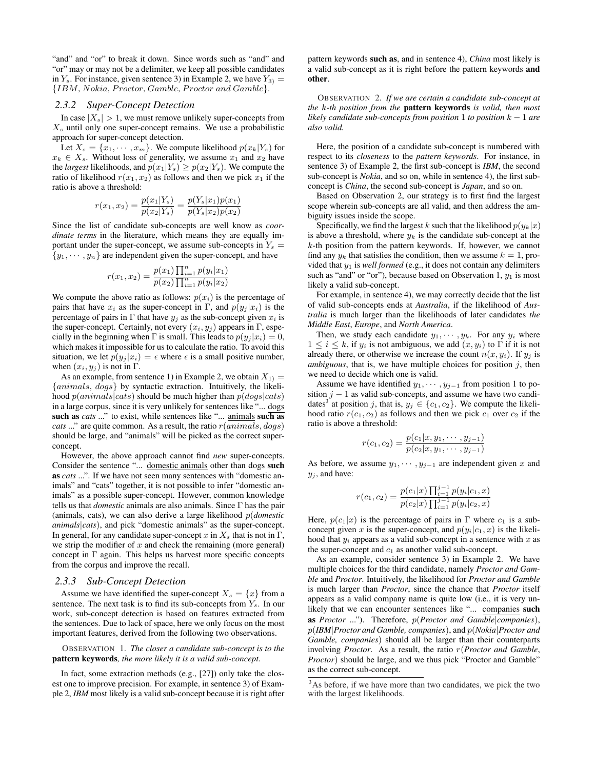"and" and "or" to break it down. Since words such as "and" and "or" may or may not be a delimiter, we keep all possible candidates in  $Y_s$ . For instance, given sentence 3) in Example 2, we have  $Y_{3}$  =  ${IBM, Nokia, Proctor, Gamble, Proctor and Gamble}.$ 

#### *2.3.2 Super-Concept Detection*

In case  $|X_s| > 1$ , we must remove unlikely super-concepts from  $X_s$  until only one super-concept remains. We use a probabilistic approach for super-concept detection.

Let  $X_s = \{x_1, \dots, x_m\}$ . We compute likelihood  $p(x_k|Y_s)$  for  $x_k \in X_s$ . Without loss of generality, we assume  $x_1$  and  $x_2$  have the *largest* likelihoods, and  $p(x_1|Y_s) \geq p(x_2|Y_s)$ . We compute the ratio of likelihood  $r(x_1, x_2)$  as follows and then we pick  $x_1$  if the ratio is above a threshold:

$$
r(x_1, x_2) = \frac{p(x_1|Y_s)}{p(x_2|Y_s)} = \frac{p(Y_s|x_1)p(x_1)}{p(Y_s|x_2)p(x_2)}
$$

Since the list of candidate sub-concepts are well know as *coordinate terms* in the literature, which means they are equally important under the super-concept, we assume sub-concepts in  $Y_s =$  ${y_1, \dots, y_n}$  are independent given the super-concept, and have

$$
r(x_1, x_2) = \frac{p(x_1) \prod_{i=1}^n p(y_i | x_1)}{p(x_2) \prod_{i=1}^n p(y_i | x_2)}
$$

We compute the above ratio as follows:  $p(x_i)$  is the percentage of pairs that have  $x_i$  as the super-concept in Γ, and  $p(y_i | x_i)$  is the percentage of pairs in  $\Gamma$  that have  $y_i$  as the sub-concept given  $x_i$  is the super-concept. Certainly, not every  $(x_i, y_j)$  appears in Γ, especially in the beginning when  $\Gamma$  is small. This leads to  $p(y_j | x_i) = 0$ , which makes it impossible for us to calculate the ratio. To avoid this situation, we let  $p(y_j | x_i) = \epsilon$  where  $\epsilon$  is a small positive number, when  $(x_i, y_j)$  is not in  $\Gamma$ .

As an example, from sentence 1) in Example 2, we obtain  $X_{1}$  = {animals, dogs} by syntactic extraction. Intuitively, the likelihood  $p(animals| cats)$  should be much higher than  $p(dogs| cats)$ in a large corpus, since it is very unlikely for sentences like "... dogs such as *cats* ..." to exist, while sentences like "... animals such as *cats* ..." are quite common. As a result, the ratio  $r(animals, dogs)$ should be large, and "animals" will be picked as the correct superconcept.

However, the above approach cannot find *new* super-concepts. Consider the sentence "... domestic animals other than dogs such as *cats* ...". If we have not seen many sentences with "domestic animals" and "cats" together, it is not possible to infer "domestic animals" as a possible super-concept. However, common knowledge tells us that *domestic* animals are also animals. Since Γ has the pair (animals, cats), we can also derive a large likelihood p(*domestic animals*|*cats*), and pick "domestic animals" as the super-concept. In general, for any candidate super-concept x in  $X_s$  that is not in  $\Gamma$ , we strip the modifier of  $x$  and check the remaining (more general) concept in Γ again. This helps us harvest more specific concepts from the corpus and improve the recall.

#### *2.3.3 Sub-Concept Detection*

Assume we have identified the super-concept  $X_s = \{x\}$  from a sentence. The next task is to find its sub-concepts from  $Y_s$ . In our work, sub-concept detection is based on features extracted from the sentences. Due to lack of space, here we only focus on the most important features, derived from the following two observations.

OBSERVATION 1. *The closer a candidate sub-concept is to the* pattern keywords*, the more likely it is a valid sub-concept.*

In fact, some extraction methods (e.g., [27]) only take the closest one to improve precision. For example, in sentence 3) of Example 2, *IBM* most likely is a valid sub-concept because it is right after pattern keywords such as, and in sentence 4), *China* most likely is a valid sub-concept as it is right before the pattern keywords and other.

OBSERVATION 2. *If we are certain a candidate sub-concept at the* k*-th position from the* pattern keywords *is valid, then most likely candidate sub-concepts from position* 1 *to position*  $k - 1$  *are also valid.*

Here, the position of a candidate sub-concept is numbered with respect to its *closeness* to the *pattern keywords*. For instance, in sentence 3) of Example 2, the first sub-concept is *IBM*, the second sub-concept is *Nokia*, and so on, while in sentence 4), the first subconcept is *China*, the second sub-concept is *Japan*, and so on.

Based on Observation 2, our strategy is to first find the largest scope wherein sub-concepts are all valid, and then address the ambiguity issues inside the scope.

Specifically, we find the largest k such that the likelihood  $p(y_k|x)$ is above a threshold, where  $y_k$  is the candidate sub-concept at the  $k$ -th position from the pattern keywords. If, however, we cannot find any  $y_k$  that satisfies the condition, then we assume  $k = 1$ , provided that  $y_1$  is *well formed* (e.g., it does not contain any delimiters such as "and" or "or"), because based on Observation 1,  $y_1$  is most likely a valid sub-concept.

For example, in sentence 4), we may correctly decide that the list of valid sub-concepts ends at *Australia*, if the likelihood of *Australia* is much larger than the likelihoods of later candidates *the Middle East*, *Europe*, and *North America*.

Then, we study each candidate  $y_1, \dots, y_k$ . For any  $y_i$  where  $1 \leq i \leq k$ , if  $y_i$  is not ambiguous, we add  $(x, y_i)$  to  $\Gamma$  if it is not already there, or otherwise we increase the count  $n(x, y_i)$ . If  $y_j$  is *ambiguous*, that is, we have multiple choices for position  $j$ , then we need to decide which one is valid.

Assume we have identified  $y_1, \cdots, y_{j-1}$  from position 1 to position  $j - 1$  as valid sub-concepts, and assume we have two candidates<sup>3</sup> at position j, that is,  $y_j \in \{c_1, c_2\}$ . We compute the likelihood ratio  $r(c_1, c_2)$  as follows and then we pick  $c_1$  over  $c_2$  if the ratio is above a threshold:

$$
r(c_1, c_2) = \frac{p(c_1|x, y_1, \cdots, y_{j-1})}{p(c_2|x, y_1, \cdots, y_{j-1})}
$$

As before, we assume  $y_1, \dots, y_{j-1}$  are independent given x and  $y_i$ , and have:

$$
r(c_1, c_2) = \frac{p(c_1|x) \prod_{i=1}^{j-1} p(y_i|c_1, x)}{p(c_2|x) \prod_{i=1}^{j-1} p(y_i|c_2, x)}
$$

Here,  $p(c_1|x)$  is the percentage of pairs in Γ where  $c_1$  is a subconcept given x is the super-concept, and  $p(y_i|c_1, x)$  is the likelihood that  $y_i$  appears as a valid sub-concept in a sentence with x as the super-concept and  $c_1$  as another valid sub-concept.

As an example, consider sentence 3) in Example 2. We have multiple choices for the third candidate, namely *Proctor and Gamble* and *Proctor*. Intuitively, the likelihood for *Proctor and Gamble* is much larger than *Proctor*, since the chance that *Proctor* itself appears as a valid company name is quite low (i.e., it is very unlikely that we can encounter sentences like "... companies such as *Proctor* ..."). Therefore, p(*Proctor and Gamble*|*companies*), p(*IBM*|*Proctor and Gamble, companies*), and p(*Nokia*|*Proctor and Gamble, companies*) should all be larger than their counterparts involving *Proctor*. As a result, the ratio r(*Proctor and Gamble*, *Proctor*) should be large, and we thus pick "Proctor and Gamble" as the correct sub-concept.

<sup>&</sup>lt;sup>3</sup>As before, if we have more than two candidates, we pick the two with the largest likelihoods.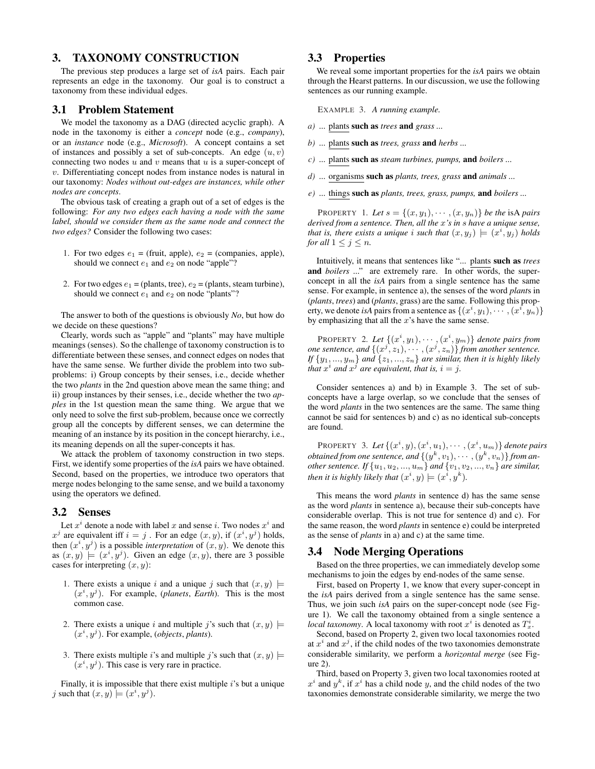## 3. TAXONOMY CONSTRUCTION

The previous step produces a large set of *isA* pairs. Each pair represents an edge in the taxonomy. Our goal is to construct a taxonomy from these individual edges.

#### 3.1 Problem Statement

We model the taxonomy as a DAG (directed acyclic graph). A node in the taxonomy is either a *concept* node (e.g., *company*), or an *instance* node (e.g., *Microsoft*). A concept contains a set of instances and possibly a set of sub-concepts. An edge  $(u, v)$ connecting two nodes  $u$  and  $v$  means that  $u$  is a super-concept of v. Differentiating concept nodes from instance nodes is natural in our taxonomy: *Nodes without out-edges are instances, while other nodes are concepts*.

The obvious task of creating a graph out of a set of edges is the following: *For any two edges each having a node with the same label, should we consider them as the same node and connect the two edges?* Consider the following two cases:

- 1. For two edges  $e_1$  = (fruit, apple),  $e_2$  = (companies, apple), should we connect  $e_1$  and  $e_2$  on node "apple"?
- 2. For two edges  $e_1$  = (plants, tree),  $e_2$  = (plants, steam turbine), should we connect  $e_1$  and  $e_2$  on node "plants"?

The answer to both of the questions is obviously *No*, but how do we decide on these questions?

Clearly, words such as "apple" and "plants" may have multiple meanings (senses). So the challenge of taxonomy construction is to differentiate between these senses, and connect edges on nodes that have the same sense. We further divide the problem into two subproblems: i) Group concepts by their senses, i.e., decide whether the two *plants* in the 2nd question above mean the same thing; and ii) group instances by their senses, i.e., decide whether the two *apples* in the 1st question mean the same thing. We argue that we only need to solve the first sub-problem, because once we correctly group all the concepts by different senses, we can determine the meaning of an instance by its position in the concept hierarchy, i.e., its meaning depends on all the super-concepts it has.

We attack the problem of taxonomy construction in two steps. First, we identify some properties of the *isA* pairs we have obtained. Second, based on the properties, we introduce two operators that merge nodes belonging to the same sense, and we build a taxonomy using the operators we defined.

# 3.2 Senses

Let  $x^i$  denote a node with label x and sense i. Two nodes  $x^i$  and  $x^j$  are equivalent iff  $i = j$ . For an edge  $(x, y)$ , if  $(x^i, y^j)$  holds, then  $(x^{i}, y^{j})$  is a possible *interpretation* of  $(x, y)$ . We denote this as  $(x, y) \models (x^i, y^j)$ . Given an edge  $(x, y)$ , there are 3 possible cases for interpreting  $(x, y)$ :

- 1. There exists a unique i and a unique j such that  $(x, y)$   $\models$  $(x^{i}, y^{j})$ . For example, *(planets*, *Earth*). This is the most common case.
- 2. There exists a unique i and multiple j's such that  $(x, y) \models$  $(x<sup>i</sup>, y<sup>j</sup>)$ . For example, (*objects*, *plants*).
- 3. There exists multiple *i*'s and multiple *j*'s such that  $(x, y)$   $\models$  $(x^{i}, y^{j})$ . This case is very rare in practice.

Finally, it is impossible that there exist multiple  $i$ 's but a unique j such that  $(x, y) \models (x^i, y^j)$ .

## 3.3 Properties

We reveal some important properties for the *isA* pairs we obtain through the Hearst patterns. In our discussion, we use the following sentences as our running example.

EXAMPLE 3. *A running example.*

- *a) ...* plants such as *trees* and *grass ...*
- *b) ...* plants such as *trees, grass* and *herbs ...*
- *c) ...* plants such as *steam turbines, pumps,* and *boilers ...*
- *d) ...* organisms such as *plants, trees, grass* and *animals ...*
- *e) ...* things such as *plants, trees, grass, pumps,* and *boilers ...*

PROPERTY 1. Let  $s = \{(x, y_1), \cdots, (x, y_n)\}$  be the isA pairs *derived from a sentence. Then, all the* x*'s in* s *have a unique sense, that is, there exists a unique i such that*  $(x, y_j) \models (x^i, y_j)$  *holds for all*  $1 \leq j \leq n$ *.* 

Intuitively, it means that sentences like "... plants such as *trees* and *boilers* ..." are extremely rare. In other words, the superconcept in all the *isA* pairs from a single sentence has the same sense. For example, in sentence a), the senses of the word *plant*s in (*plants*, *trees*) and (*plants*, grass) are the same. Following this property, we denote *isA* pairs from a sentence as  $\{(x^i, y_1), \cdots, (x^i, y_n)\}$ by emphasizing that all the  $x$ 's have the same sense.

PROPERTY 2. Let  $\{(x^i, y_1), \cdots, (x^i, y_m)\}$  denote pairs from *one sentence, and*  $\{(x^j, z_1), \cdots, (x^j, z_n)\}$  *from another sentence. If*  $\{y_1, ..., y_m\}$  *and*  $\{z_1, ..., z_n\}$  *are similar, then it is highly likely that*  $x^i$  *and*  $x^j$  *are equivalent, that is, i = j.* 

Consider sentences a) and b) in Example 3. The set of subconcepts have a large overlap, so we conclude that the senses of the word *plants* in the two sentences are the same. The same thing cannot be said for sentences b) and c) as no identical sub-concepts are found.

PROPERTY 3. Let  $\{(x^i, y), (x^i, u_1), \cdots, (x^i, u_m)\}$  denote pairs  $obtained from one sentence, and { (y^k, v_1), \cdots, (y^k, v_n) } \}$  from an*other sentence. If*  $\{u_1, u_2, ..., u_m\}$  *and*  $\{v_1, v_2, ..., v_n\}$  *are similar, then it is highly likely that*  $(x^i, y) \models (x^i, y^k)$ *.* 

This means the word *plants* in sentence d) has the same sense as the word *plants* in sentence a), because their sub-concepts have considerable overlap. This is not true for sentence d) and c). For the same reason, the word *plants* in sentence e) could be interpreted as the sense of *plants* in a) and c) at the same time.

#### 3.4 Node Merging Operations

Based on the three properties, we can immediately develop some mechanisms to join the edges by end-nodes of the same sense.

First, based on Property 1, we know that every super-concept in the *isA* pairs derived from a single sentence has the same sense. Thus, we join such *isA* pairs on the super-concept node (see Figure 1). We call the taxonomy obtained from a single sentence a *local taxonomy*. A local taxonomy with root  $x^i$  is denoted as  $T_x^i$ .

Second, based on Property 2, given two local taxonomies rooted at  $x^i$  and  $x^j$ , if the child nodes of the two taxonomies demonstrate considerable similarity, we perform a *horizontal merge* (see Figure 2).

Third, based on Property 3, given two local taxonomies rooted at  $x^i$  and  $y^k$ , if  $x^i$  has a child node y, and the child nodes of the two taxonomies demonstrate considerable similarity, we merge the two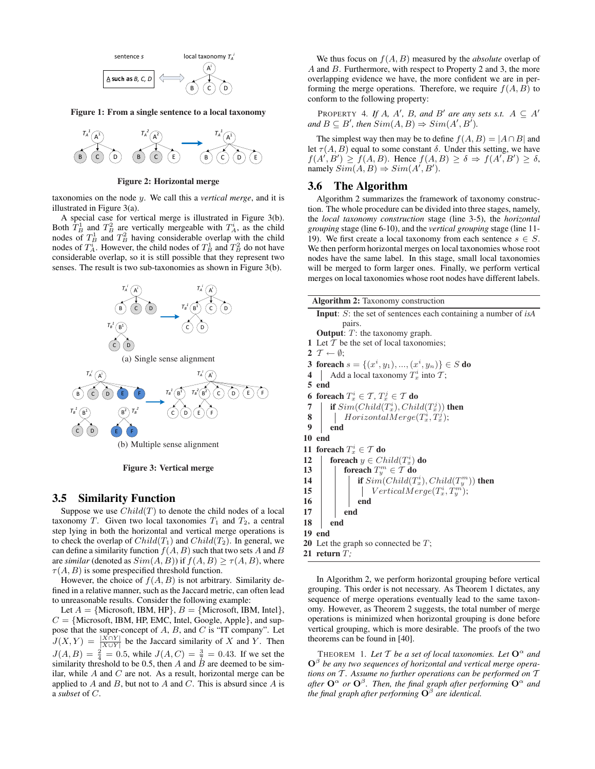

Figure 1: From a single sentence to a local taxonomy



Figure 2: Horizontal merge

taxonomies on the node y. We call this a *vertical merge*, and it is illustrated in Figure 3(a).

A special case for vertical merge is illustrated in Figure 3(b). Both  $T_B^1$  and  $T_B^2$  are vertically mergeable with  $T_A^i$ , as the child nodes of  $T_B^1$  and  $T_B^2$  having considerable overlap with the child nodes of  $T_A^{\overline{i}}$ . However, the child nodes of  $T_B^1$  and  $T_B^2$  do not have considerable overlap, so it is still possible that they represent two senses. The result is two sub-taxonomies as shown in Figure 3(b).



Figure 3: Vertical merge

### 3.5 Similarity Function

Suppose we use  $Child(T)$  to denote the child nodes of a local taxonomy T. Given two local taxonomies  $T_1$  and  $T_2$ , a central step lying in both the horizontal and vertical merge operations is to check the overlap of  $Child(T_1)$  and  $Child(T_2)$ . In general, we can define a similarity function  $f(A, B)$  such that two sets A and B are *similar* (denoted as  $Sim(A, B)$ ) if  $f(A, B) \ge \tau(A, B)$ , where  $\tau(A, B)$  is some prespecified threshold function.

However, the choice of  $f(A, B)$  is not arbitrary. Similarity defined in a relative manner, such as the Jaccard metric, can often lead to unreasonable results. Consider the following example:

Let  $A = \{\text{Microsoft}, \text{IBM}, \text{HP}\}, B = \{\text{Microsoft}, \text{IBM}, \text{Intel}\},\$  $C = \{Microsoft, IBM, HP, EMC, Intel, Google, Apple\}, and sup$ pose that the super-concept of  $A$ ,  $B$ , and  $C$  is "IT company". Let  $J(X,Y) = \frac{|X \cap Y|}{|X \cup Y|}$  be the Jaccard similarity of X and Y. Then  $J(A, B) = \frac{2}{4} = 0.5$ , while  $J(A, C) = \frac{3}{7} = 0.43$ . If we set the similarity threshold to be 0.5, then  $A$  and  $B$  are deemed to be similar, while  $A$  and  $C$  are not. As a result, horizontal merge can be applied to  $A$  and  $B$ , but not to  $A$  and  $C$ . This is absurd since  $A$  is a *subset* of C.

We thus focus on  $f(A, B)$  measured by the *absolute* overlap of A and B. Furthermore, with respect to Property 2 and 3, the more overlapping evidence we have, the more confident we are in performing the merge operations. Therefore, we require  $f(A, B)$  to conform to the following property:

PROPERTY 4. *If A, A', B, and B' are any sets s.t.*  $A \subseteq A'$ and  $B \subseteq B'$ , then  $Sim(A, B) \Rightarrow Sim(A', B')$ .

The simplest way then may be to define  $f(A, B) = |A \cap B|$  and let  $\tau(A, B)$  equal to some constant  $\delta$ . Under this setting, we have  $f(A', B') \geq f(A, B)$ . Hence  $f(A, B) \geq \delta \Rightarrow f(A', B') \geq \delta$ , namely  $Sim(A, B) \Rightarrow Sim(A', B')$ .

## 3.6 The Algorithm

Algorithm 2 summarizes the framework of taxonomy construction. The whole procedure can be divided into three stages, namely, the *local taxonomy construction* stage (line 3-5), the *horizontal grouping* stage (line 6-10), and the *vertical grouping* stage (line 11- 19). We first create a local taxonomy from each sentence  $s \in S$ . We then perform horizontal merges on local taxonomies whose root nodes have the same label. In this stage, small local taxonomies will be merged to form larger ones. Finally, we perform vertical merges on local taxonomies whose root nodes have different labels.

| <b>Algorithm 2:</b> Taxonomy construction                                  |  |
|----------------------------------------------------------------------------|--|
| <b>Input:</b> $S$ : the set of sentences each containing a number of $isA$ |  |
| pairs.                                                                     |  |
| <b>Output:</b> $T$ : the taxonomy graph.                                   |  |
| 1 Let $T$ be the set of local taxonomies;                                  |  |
| $2 \mathcal{T} \leftarrow \emptyset$ :                                     |  |
| 3 foreach $s = \{(x^i, y_1), , (x^i, y_n)\}\in S$ do                       |  |
| Add a local taxonomy $T_x^i$ into $\mathcal{T}$ ;<br>4                     |  |
| 5 end                                                                      |  |
| 6 foreach $T_x^i \in \mathcal{T}$ , $T_x^j \in \mathcal{T}$ do             |  |
| if $Sim(Child(T_x^i), Child(T_x^j))$ then<br>7                             |  |
| 8<br>$\vert$ Horizontal Merge $(T_x^i, T_x^j);$                            |  |
| 9<br>end                                                                   |  |
| 10 end                                                                     |  |
| 11 foreach $T_x^i \in \mathcal{T}$ do                                      |  |
| foreach $y \in Child(T_x^i)$ do<br>12                                      |  |
| foreach $T_u^m \in \mathcal{T}$ do<br>13                                   |  |
| if $Sim(Child(T_x^i), Child(T_y^m))$ then<br>14                            |  |
| $\vert$ Vertical Merge $(T_x^i, T_u^m);$<br>15                             |  |
| 16<br>end                                                                  |  |
| 17<br>end                                                                  |  |
| 18<br>end                                                                  |  |
| 19 end                                                                     |  |
| <b>20</b> Let the graph so connected be $T$ ;                              |  |
| 21 return $T$ ;                                                            |  |
|                                                                            |  |

In Algorithm 2, we perform horizontal grouping before vertical grouping. This order is not necessary. As Theorem 1 dictates, any sequence of merge operations eventually lead to the same taxonomy. However, as Theorem 2 suggests, the total number of merge operations is minimized when horizontal grouping is done before vertical grouping, which is more desirable. The proofs of the two theorems can be found in [40].

THEOREM 1. Let T be a set of local taxonomies. Let  $O^{\alpha}$  and  $O^{\beta}$  be any two sequences of horizontal and vertical merge opera*tions on* T *. Assume no further operations can be performed on* T after  $O^{\alpha}$  or  $O^{\beta}$ . Then, the final graph after performing  $O^{\alpha}$  and *the final graph after performing*  $\overline{O}^{\beta}$  *are identical.*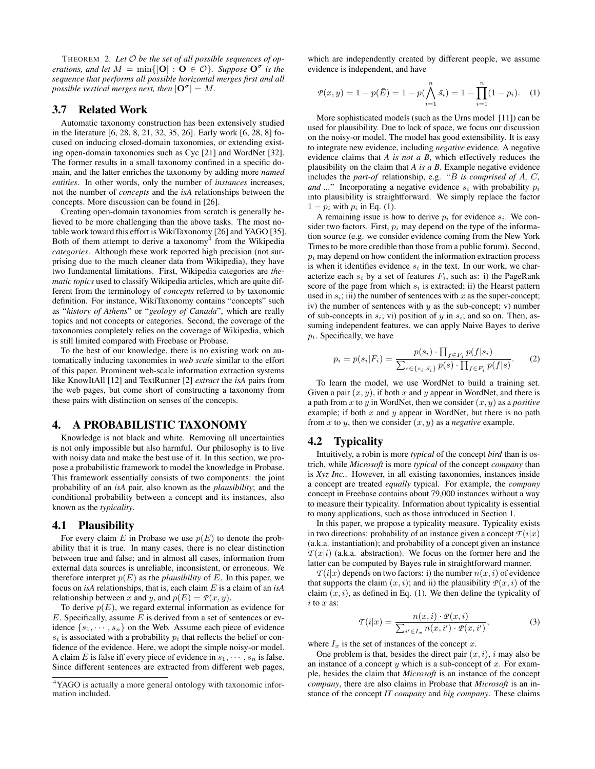THEOREM 2. *Let* O *be the set of all possible sequences of operations, and let*  $M = \min\{|\mathbf{O}| : \mathbf{O} \in \mathcal{O}\}\$ *. Suppose*  $\mathbf{O}^{\sigma}$  *is the sequence that performs all possible horizontal merges first and all possible vertical merges next, then*  $|O^{\sigma}| = M$ .

## 3.7 Related Work

Automatic taxonomy construction has been extensively studied in the literature [6, 28, 8, 21, 32, 35, 26]. Early work [6, 28, 8] focused on inducing closed-domain taxonomies, or extending existing open-domain taxonomies such as Cyc [21] and WordNet [32]. The former results in a small taxonomy confined in a specific domain, and the latter enriches the taxonomy by adding more *named entities*. In other words, only the number of *instances* increases, not the number of *concepts* and the *isA* relationships between the concepts. More discussion can be found in [26].

Creating open-domain taxonomies from scratch is generally believed to be more challenging than the above tasks. The most notable work toward this effort is WikiTaxonomy [26] and YAGO [35]. Both of them attempt to derive a taxonomy $\frac{3}{4}$  from the Wikipedia *categories*. Although these work reported high precision (not surprising due to the much cleaner data from Wikipedia), they have two fundamental limitations. First, Wikipedia categories are *thematic topics* used to classify Wikipedia articles, which are quite different from the terminology of *concepts* referred to by taxonomic definition. For instance, WikiTaxonomy contains "concepts" such as "*history of Athens*" or "*geology of Canada*", which are really topics and not concepts or categories. Second, the coverage of the taxonomies completely relies on the coverage of Wikipedia, which is still limited compared with Freebase or Probase.

To the best of our knowledge, there is no existing work on automatically inducing taxonomies in *web scale* similar to the effort of this paper. Prominent web-scale information extraction systems like KnowItAll [12] and TextRunner [2] *extract* the *isA* pairs from the web pages, but come short of constructing a taxonomy from these pairs with distinction on senses of the concepts.

## 4. A PROBABILISTIC TAXONOMY

Knowledge is not black and white. Removing all uncertainties is not only impossible but also harmful. Our philosophy is to live with noisy data and make the best use of it. In this section, we propose a probabilistic framework to model the knowledge in Probase. This framework essentially consists of two components: the joint probability of an *isA* pair, also known as the *plausibility*; and the conditional probability between a concept and its instances, also known as the *typicality*.

## 4.1 Plausibility

For every claim E in Probase we use  $p(E)$  to denote the probability that it is true. In many cases, there is no clear distinction between true and false; and in almost all cases, information from external data sources is unreliable, inconsistent, or erroneous. We therefore interpret  $p(E)$  as the *plausibility* of E. In this paper, we focus on *isA* relationships, that is, each claim E is a claim of an *isA* relationship between x and y, and  $p(E) = \mathcal{P}(x, y)$ .

To derive  $p(E)$ , we regard external information as evidence for  $E$ . Specifically, assume  $E$  is derived from a set of sentences or evidence  $\{s_1, \dots, s_n\}$  on the Web. Assume each piece of evidence  $s_i$  is associated with a probability  $p_i$  that reflects the belief or confidence of the evidence. Here, we adopt the simple noisy-or model. A claim E is false iff every piece of evidence in  $s_1, \dots, s_n$  is false. Since different sentences are extracted from different web pages,

which are independently created by different people, we assume evidence is independent, and have

$$
\mathcal{P}(x,y) = 1 - p(\bar{E}) = 1 - p(\bigwedge_{i=1}^{n} \bar{s}_i) = 1 - \prod_{i=1}^{n} (1 - p_i). \quad (1)
$$

More sophisticated models (such as the Urns model [11]) can be used for plausibility. Due to lack of space, we focus our discussion on the noisy-or model. The model has good extensibility. It is easy to integrate new evidence, including *negative* evidence. A negative evidence claims that *A is not a B*, which effectively reduces the plausibility on the claim that *A is a B*. Example negative evidence includes the *part-of* relationship, e.g. "B *is comprised of* A*,* C*, and* ..." Incorporating a negative evidence  $s_i$  with probability  $p_i$ into plausibility is straightforward. We simply replace the factor  $1 - p_i$  with  $p_i$  in Eq. (1).

A remaining issue is how to derive  $p_i$  for evidence  $s_i$ . We consider two factors. First,  $p_i$  may depend on the type of the information source (e.g. we consider evidence coming from the New York Times to be more credible than those from a public forum). Second,  $p_i$  may depend on how confident the information extraction process is when it identifies evidence  $s_i$  in the text. In our work, we characterize each  $s_i$  by a set of features  $F_i$ , such as: i) the PageRank score of the page from which  $s_i$  is extracted; ii) the Hearst pattern used in  $s_i$ ; iii) the number of sentences with x as the super-concept; iv) the number of sentences with  $y$  as the sub-concept; v) number of sub-concepts in  $s_i$ ; vi) position of y in  $s_i$ ; and so on. Then, assuming independent features, we can apply Naive Bayes to derive  $p_i$ . Specifically, we have

$$
p_i = p(s_i|F_i) = \frac{p(s_i) \cdot \prod_{f \in F_i} p(f|s_i)}{\sum_{s \in \{s_i, \bar{s_i}\}} p(s) \cdot \prod_{f \in F_i} p(f|s)}.
$$
 (2)

To learn the model, we use WordNet to build a training set. Given a pair  $(x, y)$ , if both x and y appear in WordNet, and there is a path from x to y in WordNet, then we consider (x, y) as a *positive* example; if both  $x$  and  $y$  appear in WordNet, but there is no path from x to y, then we consider  $(x, y)$  as a *negative* example.

## 4.2 Typicality

Intuitively, a robin is more *typical* of the concept *bird* than is ostrich, while *Microsoft* is more *typical* of the concept *company* than is *Xyz Inc.*. However, in all existing taxonomies, instances inside a concept are treated *equally* typical. For example, the *company* concept in Freebase contains about 79,000 instances without a way to measure their typicality. Information about typicality is essential to many applications, such as those introduced in Section 1.

In this paper, we propose a typicality measure. Typicality exists in two directions: probability of an instance given a concept  $\mathcal{T}(i|x)$ (a.k.a. instantiation); and probability of a concept given an instance  $T(x|i)$  (a.k.a. abstraction). We focus on the former here and the latter can be computed by Bayes rule in straightforward manner.

 $T(i|x)$  depends on two factors: i) the number  $n(x, i)$  of evidence that supports the claim  $(x, i)$ ; and ii) the plausibility  $P(x, i)$  of the claim  $(x, i)$ , as defined in Eq. (1). We then define the typicality of  $i$  to  $x$  as:

$$
\mathcal{T}(i|x) = \frac{n(x,i) \cdot \mathcal{P}(x,i)}{\sum_{i' \in I_x} n(x,i') \cdot \mathcal{P}(x,i')},\tag{3}
$$

where  $I_x$  is the set of instances of the concept x.

One problem is that, besides the direct pair  $(x, i)$ , i may also be an instance of a concept  $y$  which is a sub-concept of  $x$ . For example, besides the claim that *Microsoft* is an instance of the concept *company*, there are also claims in Probase that *Microsoft* is an instance of the concept *IT company* and *big company*. These claims

<sup>&</sup>lt;sup>4</sup>YAGO is actually a more general ontology with taxonomic information included.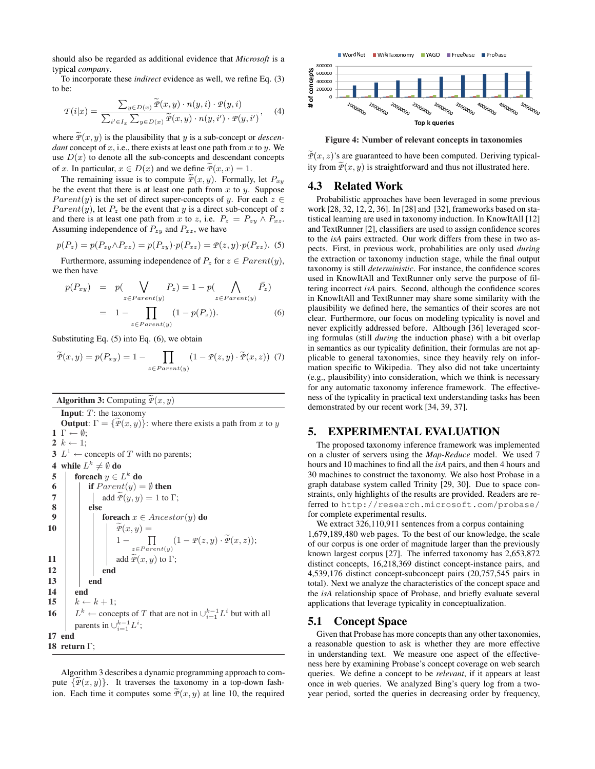should also be regarded as additional evidence that *Microsoft* is a typical *company*.

To incorporate these *indirect* evidence as well, we refine Eq. (3) to be:

$$
T(i|x) = \frac{\sum_{y \in D(x)} \widetilde{P}(x, y) \cdot n(y, i) \cdot P(y, i)}{\sum_{i' \in I_x} \sum_{y \in D(x)} \widetilde{P}(x, y) \cdot n(y, i') \cdot P(y, i')},
$$
 (4)

where  $\widetilde{P}(x, y)$  is the plausibility that y is a sub-concept or *descendant* concept of  $x$ , i.e., there exists at least one path from  $x$  to  $y$ . We use  $D(x)$  to denote all the sub-concepts and descendant concepts of x. In particular,  $x \in D(x)$  and we define  $\tilde{P}(x, x) = 1$ .

The remaining issue is to compute  $\widetilde{\varphi}(x, y)$ . Formally, let  $P_{xy}$ be the event that there is at least one path from  $x$  to  $y$ . Suppose  $Parent(y)$  is the set of direct super-concepts of y. For each  $z \in$  $Parent(y)$ , let  $P_z$  be the event that y is a direct sub-concept of z and there is at least one path from x to z, i.e.  $P_z = P_{zy} \wedge P_{xz}$ . Assuming independence of  $P_{zy}$  and  $P_{xz}$ , we have

$$
p(P_z) = p(P_{zy} \wedge P_{xz}) = p(P_{zy}) \cdot p(P_{xz}) = p(z, y) \cdot p(P_{xz}).
$$
 (5)

Furthermore, assuming independence of  $P_z$  for  $z \in Parent(y)$ , we then have

$$
p(P_{xy}) = p\left(\bigvee_{z \in Parent(y)} P_z\right) = 1 - p\left(\bigwedge_{z \in Parent(y)} \bar{P_z}\right)
$$

$$
= 1 - \prod_{z \in Parent(y)} (1 - p(P_z)). \tag{6}
$$

Substituting Eq. (5) into Eq. (6), we obtain

$$
\widetilde{\mathcal{P}}(x,y) = p(P_{xy}) = 1 - \prod_{z \in Parent(y)} (1 - \mathcal{P}(z,y) \cdot \widetilde{\mathcal{P}}(x,z)) \tag{7}
$$

Algorithm 3: Computing  $\widetilde{\varphi}(x, y)$ 

**Input:** T: the taxonomy **Output:**  $\Gamma = {\{\widetilde{\varphi}(x, y)\}}$ : where there exists a path from x to y  $1 \Gamma \leftarrow \emptyset;$ 2  $k \leftarrow 1$ ; 3  $L^1$   $\leftarrow$  concepts of T with no parents; 4 while  $L^k \neq \emptyset$  do 5 foreach  $y \in L^k$  do 6 | if  $Parent(y) = \emptyset$  then 7  $\vert$   $\vert$  add  $\widetilde{\varphi}(y, y) = 1$  to  $\Gamma$ ;  $8$  | else 9 | | foreach  $x \in Ancestor(y)$  do 10 **P** $\hat{P}(x, y) =$ 1 −  $\bar{\mathbb{L}}$  $\prod_{z \in Parent(y)} (1 - \mathcal{P}(z, y) \cdot \widetilde{\mathcal{P}}(x, z));$ 11 | | | add  $\widetilde{P}(x, y)$  to  $\Gamma$ ;  $12$  | | end 13 | end 14 end 15  $k \leftarrow k + 1;$ **16** <sup>k</sup> ← concepts of T that are not in  $\bigcup_{i=1}^{k-1} L^i$  but with all parents in  $\cup_{i=1}^{k-1} L^i$ ; 17 end 18 return Γ;

Algorithm 3 describes a dynamic programming approach to compute  $\{\tilde{\varphi}(x, y)\}\$ . It traverses the taxonomy in a top-down fashion. Each time it computes some  $\tilde{\varphi}(x, y)$  at line 10, the required



Figure 4: Number of relevant concepts in taxonomies

 $\tilde{\varphi}(x, z)$ 's are guaranteed to have been computed. Deriving typicality from  $\widetilde{\varphi}(x, y)$  is straightforward and thus not illustrated here.

# 4.3 Related Work

Probabilistic approaches have been leveraged in some previous work [28, 32, 12, 2, 36]. In [28] and [32], frameworks based on statistical learning are used in taxonomy induction. In KnowItAll [12] and TextRunner [2], classifiers are used to assign confidence scores to the *isA* pairs extracted. Our work differs from these in two aspects. First, in previous work, probabilities are only used *during* the extraction or taxonomy induction stage, while the final output taxonomy is still *deterministic*. For instance, the confidence scores used in KnowItAll and TextRunner only serve the purpose of filtering incorrect *isA* pairs. Second, although the confidence scores in KnowItAll and TextRunner may share some similarity with the plausibility we defined here, the semantics of their scores are not clear. Furthermore, our focus on modeling typicality is novel and never explicitly addressed before. Although [36] leveraged scoring formulas (still *during* the induction phase) with a bit overlap in semantics as our typicality definition, their formulas are not applicable to general taxonomies, since they heavily rely on information specific to Wikipedia. They also did not take uncertainty (e.g., plausibility) into consideration, which we think is necessary for any automatic taxonomy inference framework. The effectiveness of the typicality in practical text understanding tasks has been demonstrated by our recent work [34, 39, 37].

# 5. EXPERIMENTAL EVALUATION

The proposed taxonomy inference framework was implemented on a cluster of servers using the *Map-Reduce* model. We used 7 hours and 10 machines to find all the *isA* pairs, and then 4 hours and 30 machines to construct the taxonomy. We also host Probase in a graph database system called Trinity [29, 30]. Due to space constraints, only highlights of the results are provided. Readers are referred to http://research.microsoft.com/probase/ for complete experimental results.

We extract 326,110,911 sentences from a corpus containing 1,679,189,480 web pages. To the best of our knowledge, the scale of our corpus is one order of magnitude larger than the previously known largest corpus [27]. The inferred taxonomy has 2,653,872 distinct concepts, 16,218,369 distinct concept-instance pairs, and 4,539,176 distinct concept-subconcept pairs (20,757,545 pairs in total). Next we analyze the characteristics of the concept space and the *isA* relationship space of Probase, and briefly evaluate several applications that leverage typicality in conceptualization.

# 5.1 Concept Space

Given that Probase has more concepts than any other taxonomies, a reasonable question to ask is whether they are more effective in understanding text. We measure one aspect of the effectiveness here by examining Probase's concept coverage on web search queries. We define a concept to be *relevant*, if it appears at least once in web queries. We analyzed Bing's query log from a twoyear period, sorted the queries in decreasing order by frequency,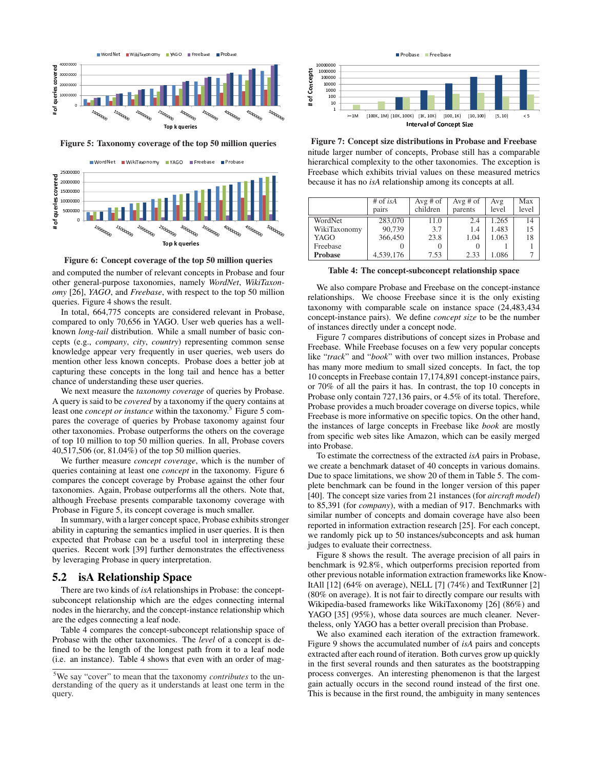

Figure 5: Taxonomy coverage of the top 50 million queries



Figure 6: Concept coverage of the top 50 million queries

and computed the number of relevant concepts in Probase and four other general-purpose taxonomies, namely *WordNet*, *WikiTaxonomy* [26], *YAGO*, and *Freebase*, with respect to the top 50 million queries. Figure 4 shows the result.

In total, 664,775 concepts are considered relevant in Probase, compared to only 70,656 in YAGO. User web queries has a wellknown *long-tail* distribution. While a small number of basic concepts (e.g., *company*, *city*, *country*) representing common sense knowledge appear very frequently in user queries, web users do mention other less known concepts. Probase does a better job at capturing these concepts in the long tail and hence has a better chance of understanding these user queries.

We next measure the *taxonomy coverage* of queries by Probase. A query is said to be *covered* by a taxonomy if the query contains at least one *concept or instance* within the taxonomy.<sup>5</sup> Figure 5 compares the coverage of queries by Probase taxonomy against four other taxonomies. Probase outperforms the others on the coverage of top 10 million to top 50 million queries. In all, Probase covers 40,517,506 (or, 81.04%) of the top 50 million queries.

We further measure *concept coverage*, which is the number of queries containing at least one *concept* in the taxonomy. Figure 6 compares the concept coverage by Probase against the other four taxonomies. Again, Probase outperforms all the others. Note that, although Freebase presents comparable taxonomy coverage with Probase in Figure 5, its concept coverage is much smaller.

In summary, with a larger concept space, Probase exhibits stronger ability in capturing the semantics implied in user queries. It is then expected that Probase can be a useful tool in interpreting these queries. Recent work [39] further demonstrates the effectiveness by leveraging Probase in query interpretation.

#### 5.2 isA Relationship Space

There are two kinds of *isA* relationships in Probase: the conceptsubconcept relationship which are the edges connecting internal nodes in the hierarchy, and the concept-instance relationship which are the edges connecting a leaf node.

Table 4 compares the concept-subconcept relationship space of Probase with the other taxonomies. The *level* of a concept is defined to be the length of the longest path from it to a leaf node (i.e. an instance). Table 4 shows that even with an order of mag-



Figure 7: Concept size distributions in Probase and Freebase nitude larger number of concepts, Probase still has a comparable hierarchical complexity to the other taxonomies. The exception is Freebase which exhibits trivial values on these measured metrics because it has no *isA* relationship among its concepts at all.

|                | # of $isA$<br>pairs | $Avg \# of$<br>children | $Avg \# of$<br>parents | Avg<br>level | Max<br>level |
|----------------|---------------------|-------------------------|------------------------|--------------|--------------|
| WordNet        | 283,070             | 11.0                    | 2.4                    | 1.265        | 14           |
| WikiTaxonomy   | 90.739              | 3.7                     | 1.4                    | 1.483        | 15           |
| YAGO           | 366,450             | 23.8                    | 1.04                   | 1.063        | 18           |
| Freebase       |                     |                         |                        |              |              |
| <b>Probase</b> | 4,539,176           | 7.53                    | 2.33                   | 1.086        |              |

Table 4: The concept-subconcept relationship space

We also compare Probase and Freebase on the concept-instance relationships. We choose Freebase since it is the only existing taxonomy with comparable scale on instance space (24,483,434 concept-instance pairs). We define *concept size* to be the number of instances directly under a concept node.

Figure 7 compares distributions of concept sizes in Probase and Freebase. While Freebase focuses on a few very popular concepts like "*track*" and "*book*" with over two million instances, Probase has many more medium to small sized concepts. In fact, the top 10 concepts in Freebase contain 17,174,891 concept-instance pairs, or 70% of all the pairs it has. In contrast, the top 10 concepts in Probase only contain 727,136 pairs, or 4.5% of its total. Therefore, Probase provides a much broader coverage on diverse topics, while Freebase is more informative on specific topics. On the other hand, the instances of large concepts in Freebase like *book* are mostly from specific web sites like Amazon, which can be easily merged into Probase.

To estimate the correctness of the extracted *isA* pairs in Probase, we create a benchmark dataset of 40 concepts in various domains. Due to space limitations, we show 20 of them in Table 5. The complete benchmark can be found in the longer version of this paper [40]. The concept size varies from 21 instances (for *aircraft model*) to 85,391 (for *company*), with a median of 917. Benchmarks with similar number of concepts and domain coverage have also been reported in information extraction research [25]. For each concept, we randomly pick up to 50 instances/subconcepts and ask human judges to evaluate their correctness.

Figure 8 shows the result. The average precision of all pairs in benchmark is 92.8%, which outperforms precision reported from other previous notable information extraction frameworks like Know-ItAll [12] (64% on average), NELL [7] (74%) and TextRunner [2] (80% on average). It is not fair to directly compare our results with Wikipedia-based frameworks like WikiTaxonomy [26] (86%) and YAGO [35] (95%), whose data sources are much cleaner. Nevertheless, only YAGO has a better overall precision than Probase.

We also examined each iteration of the extraction framework. Figure 9 shows the accumulated number of *isA* pairs and concepts extracted after each round of iteration. Both curves grow up quickly in the first several rounds and then saturates as the bootstrapping process converges. An interesting phenomenon is that the largest gain actually occurs in the second round instead of the first one. This is because in the first round, the ambiguity in many sentences

<sup>5</sup>We say "cover" to mean that the taxonomy *contributes* to the understanding of the query as it understands at least one term in the query.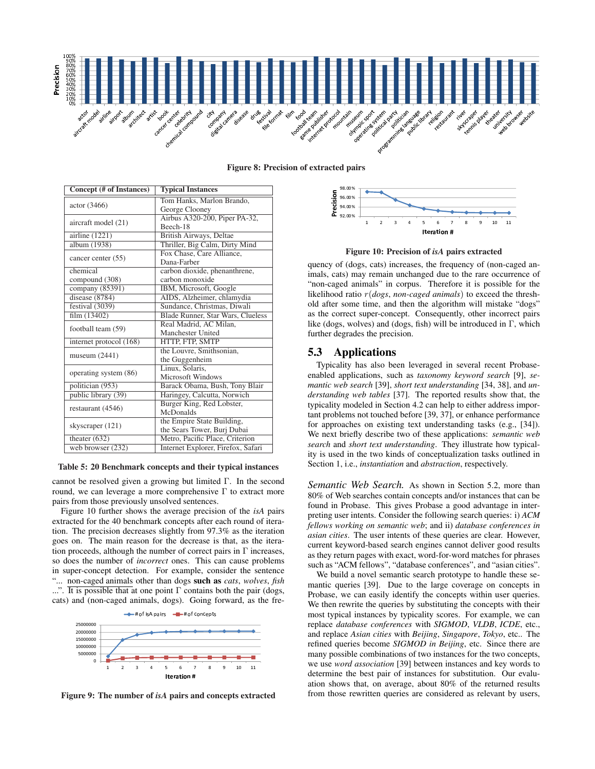

Figure 8: Precision of extracted pairs

| <b>Concept (# of Instances)</b> | <b>Typical Instances</b>           |  |  |
|---------------------------------|------------------------------------|--|--|
|                                 | Tom Hanks, Marlon Brando,          |  |  |
| actor(3466)                     | George Clooney                     |  |  |
|                                 | Airbus A320-200, Piper PA-32,      |  |  |
| aircraft model (21)             | Beech-18                           |  |  |
| airline (1221)                  | British Airways, Deltae            |  |  |
| album (1938)                    | Thriller, Big Calm, Dirty Mind     |  |  |
|                                 | Fox Chase, Care Alliance,          |  |  |
| cancer center (55)              | Dana-Farber                        |  |  |
| chemical                        | carbon dioxide, phenanthrene,      |  |  |
| compound (308)                  | carbon monoxide                    |  |  |
| company (85391)                 | IBM, Microsoft, Google             |  |  |
| disease $(8784)$                | AIDS, Alzheimer, chlamydia         |  |  |
| festival (3039)                 | Sundance, Christmas, Diwali        |  |  |
| film (13402)                    | Blade Runner, Star Wars, Clueless  |  |  |
|                                 | Real Madrid, AC Milan.             |  |  |
| football team (59)              | Manchester United                  |  |  |
| internet protocol (168)         | HTTP, FTP, SMTP                    |  |  |
|                                 | the Louvre, Smithsonian,           |  |  |
| museum $(2441)$                 | the Guggenheim                     |  |  |
|                                 | Linux, Solaris.                    |  |  |
| operating system (86)           | Microsoft Windows                  |  |  |
| politician (953)                | Barack Obama, Bush, Tony Blair     |  |  |
| public library (39)             | Haringey, Calcutta, Norwich        |  |  |
| restaurant (4546)               | Burger King, Red Lobster,          |  |  |
|                                 | McDonalds                          |  |  |
| skyscraper (121)                | the Empire State Building,         |  |  |
|                                 | the Sears Tower, Burj Dubai        |  |  |
| theater $(632)$                 | Metro, Pacific Place, Criterion    |  |  |
| web browser (232)               | Internet Explorer, Firefox, Safari |  |  |

Table 5: 20 Benchmark concepts and their typical instances

cannot be resolved given a growing but limited Γ. In the second round, we can leverage a more comprehensive  $\Gamma$  to extract more pairs from those previously unsolved sentences.

Figure 10 further shows the average precision of the *isA* pairs extracted for the 40 benchmark concepts after each round of iteration. The precision decreases slightly from 97.3% as the iteration goes on. The main reason for the decrease is that, as the iteration proceeds, although the number of correct pairs in  $\Gamma$  increases, so does the number of *incorrect* ones. This can cause problems in super-concept detection. For example, consider the sentence "... non-caged animals other than dogs such as *cats*, *wolves*, *fish* ...". It is possible that at one point  $\Gamma$  contains both the pair (dogs, cats) and (non-caged animals, dogs). Going forward, as the fre-



Figure 9: The number of *isA* pairs and concepts extracted



Figure 10: Precision of *isA* pairs extracted

quency of (dogs, cats) increases, the frequency of (non-caged animals, cats) may remain unchanged due to the rare occurrence of "non-caged animals" in corpus. Therefore it is possible for the likelihood ratio r(*dogs*, *non-caged animals*) to exceed the threshold after some time, and then the algorithm will mistake "dogs" as the correct super-concept. Consequently, other incorrect pairs like (dogs, wolves) and (dogs, fish) will be introduced in Γ, which further degrades the precision.

#### 5.3 Applications

Typicality has also been leveraged in several recent Probaseenabled applications, such as *taxonomy keyword search* [9], *semantic web search* [39], *short text understanding* [34, 38], and *understanding web tables* [37]. The reported results show that, the typicality modeled in Section 4.2 can help to either address important problems not touched before [39, 37], or enhance performance for approaches on existing text understanding tasks (e.g., [34]). We next briefly describe two of these applications: *semantic web search* and *short text understanding*. They illustrate how typicality is used in the two kinds of conceptualization tasks outlined in Section 1, i.e., *instantiation* and *abstraction*, respectively.

*Semantic Web Search.* As shown in Section 5.2, more than 80% of Web searches contain concepts and/or instances that can be found in Probase. This gives Probase a good advantage in interpreting user intents. Consider the following search queries: i) *ACM fellows working on semantic web*; and ii) *database conferences in asian cities*. The user intents of these queries are clear. However, current keyword-based search engines cannot deliver good results as they return pages with exact, word-for-word matches for phrases such as "ACM fellows", "database conferences", and "asian cities".

We build a novel semantic search prototype to handle these semantic queries [39]. Due to the large coverage on concepts in Probase, we can easily identify the concepts within user queries. We then rewrite the queries by substituting the concepts with their most typical instances by typicality scores. For example, we can replace *database conferences* with *SIGMOD*, *VLDB*, *ICDE*, etc., and replace *Asian cities* with *Beijing*, *Singapore*, *Tokyo*, etc.. The refined queries become *SIGMOD in Beijing*, etc. Since there are many possible combinations of two instances for the two concepts, we use *word association* [39] between instances and key words to determine the best pair of instances for substitution. Our evaluation shows that, on average, about 80% of the returned results from those rewritten queries are considered as relevant by users,